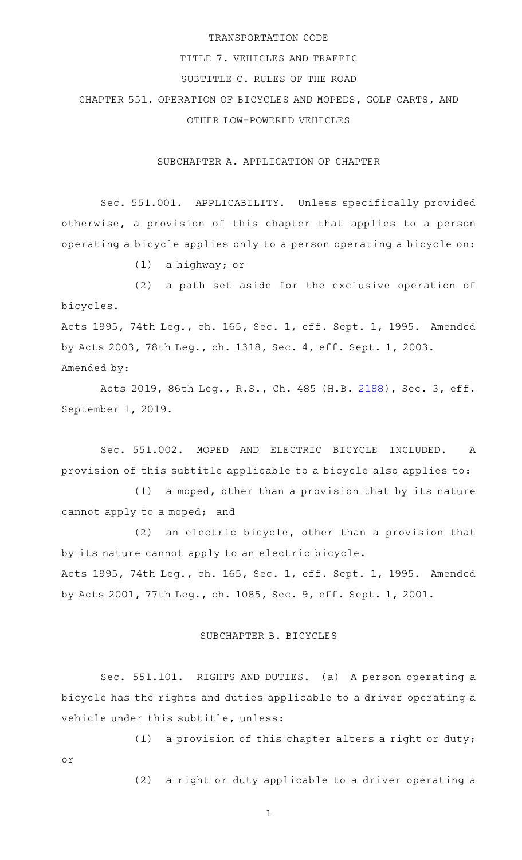#### TRANSPORTATION CODE

#### TITLE 7. VEHICLES AND TRAFFIC

# SUBTITLE C. RULES OF THE ROAD

CHAPTER 551. OPERATION OF BICYCLES AND MOPEDS, GOLF CARTS, AND OTHER LOW-POWERED VEHICLES

SUBCHAPTER A. APPLICATION OF CHAPTER

Sec. 551.001. APPLICABILITY. Unless specifically provided otherwise, a provision of this chapter that applies to a person operating a bicycle applies only to a person operating a bicycle on:

 $(1)$  a highway; or

 $(2)$  a path set aside for the exclusive operation of bicycles. Acts 1995, 74th Leg., ch. 165, Sec. 1, eff. Sept. 1, 1995. Amended by Acts 2003, 78th Leg., ch. 1318, Sec. 4, eff. Sept. 1, 2003.

```
Amended by:
```
Acts 2019, 86th Leg., R.S., Ch. 485 (H.B. [2188](http://www.legis.state.tx.us/tlodocs/86R/billtext/html/HB02188F.HTM)), Sec. 3, eff. September 1, 2019.

Sec. 551.002. MOPED AND ELECTRIC BICYCLE INCLUDED. A provision of this subtitle applicable to a bicycle also applies to:

 $(1)$  a moped, other than a provision that by its nature cannot apply to a moped; and

 $(2)$  an electric bicycle, other than a provision that by its nature cannot apply to an electric bicycle. Acts 1995, 74th Leg., ch. 165, Sec. 1, eff. Sept. 1, 1995. Amended by Acts 2001, 77th Leg., ch. 1085, Sec. 9, eff. Sept. 1, 2001.

# SUBCHAPTER B. BICYCLES

Sec. 551.101. RIGHTS AND DUTIES. (a) A person operating a bicycle has the rights and duties applicable to a driver operating a vehicle under this subtitle, unless:

 $(1)$  a provision of this chapter alters a right or duty; or

(2) a right or duty applicable to a driver operating a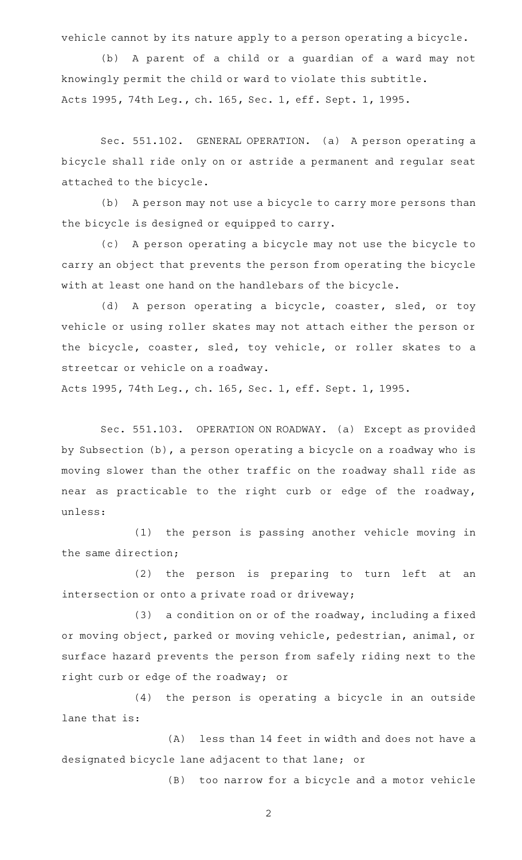vehicle cannot by its nature apply to a person operating a bicycle.

(b) A parent of a child or a guardian of a ward may not knowingly permit the child or ward to violate this subtitle. Acts 1995, 74th Leg., ch. 165, Sec. 1, eff. Sept. 1, 1995.

Sec. 551.102. GENERAL OPERATION. (a) A person operating a bicycle shall ride only on or astride a permanent and regular seat attached to the bicycle.

(b) A person may not use a bicycle to carry more persons than the bicycle is designed or equipped to carry.

(c) A person operating a bicycle may not use the bicycle to carry an object that prevents the person from operating the bicycle with at least one hand on the handlebars of the bicycle.

(d) A person operating a bicycle, coaster, sled, or toy vehicle or using roller skates may not attach either the person or the bicycle, coaster, sled, toy vehicle, or roller skates to a streetcar or vehicle on a roadway.

Acts 1995, 74th Leg., ch. 165, Sec. 1, eff. Sept. 1, 1995.

Sec. 551.103. OPERATION ON ROADWAY. (a) Except as provided by Subsection (b), a person operating a bicycle on a roadway who is moving slower than the other traffic on the roadway shall ride as near as practicable to the right curb or edge of the roadway, unless:

(1) the person is passing another vehicle moving in the same direction;

(2) the person is preparing to turn left at an intersection or onto a private road or driveway;

 $(3)$  a condition on or of the roadway, including a fixed or moving object, parked or moving vehicle, pedestrian, animal, or surface hazard prevents the person from safely riding next to the right curb or edge of the roadway; or

(4) the person is operating a bicycle in an outside lane that is:

 $(A)$  less than 14 feet in width and does not have a designated bicycle lane adjacent to that lane; or

(B) too narrow for a bicycle and a motor vehicle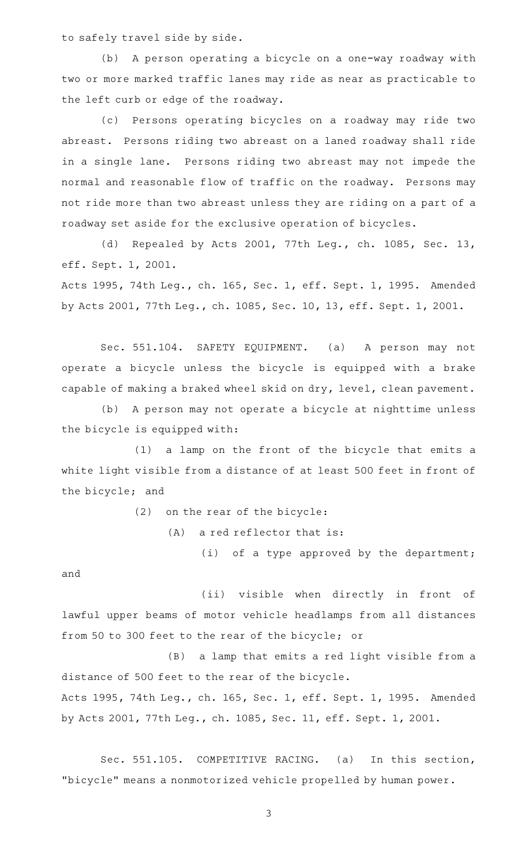to safely travel side by side.

(b) A person operating a bicycle on a one-way roadway with two or more marked traffic lanes may ride as near as practicable to the left curb or edge of the roadway.

(c) Persons operating bicycles on a roadway may ride two abreast. Persons riding two abreast on a laned roadway shall ride in a single lane. Persons riding two abreast may not impede the normal and reasonable flow of traffic on the roadway. Persons may not ride more than two abreast unless they are riding on a part of a roadway set aside for the exclusive operation of bicycles.

(d) Repealed by Acts 2001, 77th Leg., ch. 1085, Sec. 13, eff. Sept. 1, 2001.

Acts 1995, 74th Leg., ch. 165, Sec. 1, eff. Sept. 1, 1995. Amended by Acts 2001, 77th Leg., ch. 1085, Sec. 10, 13, eff. Sept. 1, 2001.

Sec. 551.104. SAFETY EQUIPMENT. (a) A person may not operate a bicycle unless the bicycle is equipped with a brake capable of making a braked wheel skid on dry, level, clean pavement.

(b) A person may not operate a bicycle at nighttime unless the bicycle is equipped with:

(1) a lamp on the front of the bicycle that emits a white light visible from a distance of at least 500 feet in front of the bicycle; and

 $(2)$  on the rear of the bicycle:

 $(A)$  a red reflector that is:

(i) of a type approved by the department; and

(ii) visible when directly in front of lawful upper beams of motor vehicle headlamps from all distances from 50 to 300 feet to the rear of the bicycle; or

 $(B)$  a lamp that emits a red light visible from a distance of 500 feet to the rear of the bicycle. Acts 1995, 74th Leg., ch. 165, Sec. 1, eff. Sept. 1, 1995. Amended by Acts 2001, 77th Leg., ch. 1085, Sec. 11, eff. Sept. 1, 2001.

Sec. 551.105. COMPETITIVE RACING. (a) In this section, "bicycle" means a nonmotorized vehicle propelled by human power.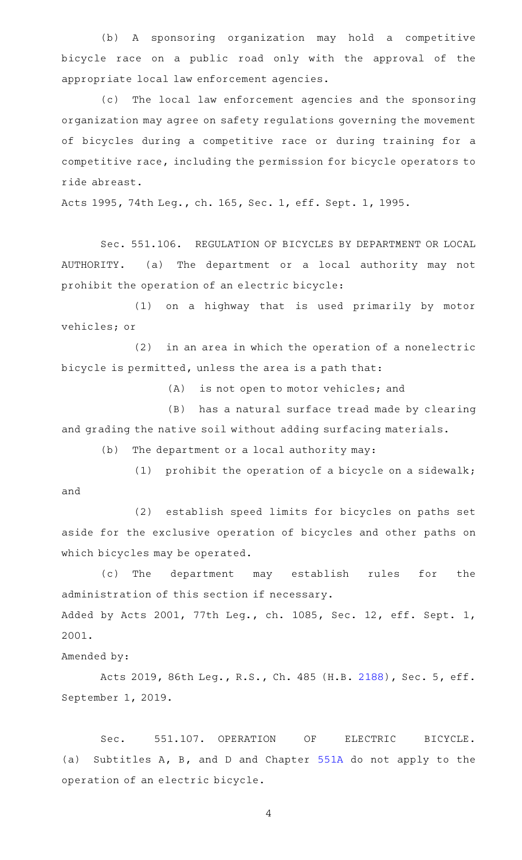(b) A sponsoring organization may hold a competitive bicycle race on a public road only with the approval of the appropriate local law enforcement agencies.

(c) The local law enforcement agencies and the sponsoring organization may agree on safety regulations governing the movement of bicycles during a competitive race or during training for a competitive race, including the permission for bicycle operators to ride abreast.

Acts 1995, 74th Leg., ch. 165, Sec. 1, eff. Sept. 1, 1995.

Sec. 551.106. REGULATION OF BICYCLES BY DEPARTMENT OR LOCAL AUTHORITY. (a) The department or a local authority may not prohibit the operation of an electric bicycle:

(1) on a highway that is used primarily by motor vehicles; or

 $(2)$  in an area in which the operation of a nonelectric bicycle is permitted, unless the area is a path that:

 $(A)$  is not open to motor vehicles; and

(B) has a natural surface tread made by clearing and grading the native soil without adding surfacing materials.

(b) The department or a local authority may:

(1) prohibit the operation of a bicycle on a sidewalk; and

(2) establish speed limits for bicycles on paths set aside for the exclusive operation of bicycles and other paths on which bicycles may be operated.

(c) The department may establish rules for the administration of this section if necessary. Added by Acts 2001, 77th Leg., ch. 1085, Sec. 12, eff. Sept. 1, 2001.

Amended by:

Acts 2019, 86th Leg., R.S., Ch. 485 (H.B. [2188](http://www.legis.state.tx.us/tlodocs/86R/billtext/html/HB02188F.HTM)), Sec. 5, eff. September 1, 2019.

Sec. 551.107. OPERATION OF ELECTRIC BICYCLE. (a) Subtitles A, B, and D and Chapter [551A](http://www.statutes.legis.state.tx.us/GetStatute.aspx?Code=TN&Value=551A) do not apply to the operation of an electric bicycle.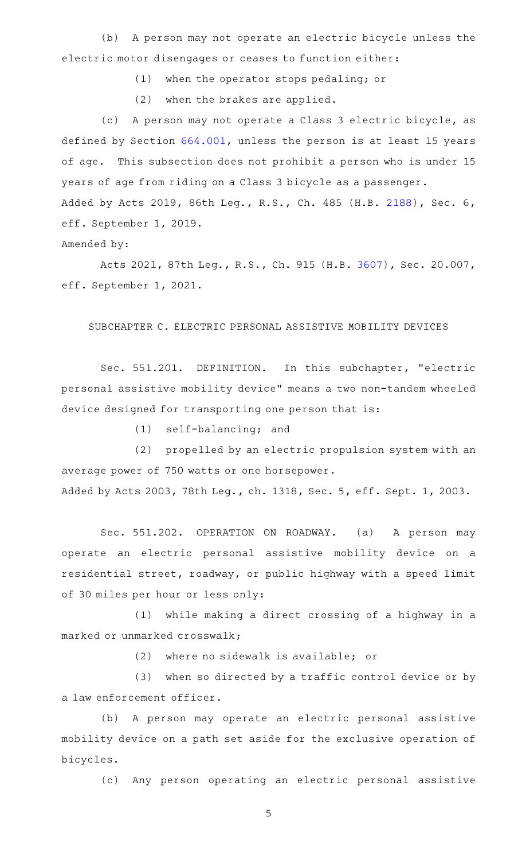(b) A person may not operate an electric bicycle unless the electric motor disengages or ceases to function either:

(1) when the operator stops pedaling; or

(2) when the brakes are applied.

(c) A person may not operate a Class 3 electric bicycle, as defined by Section [664.001,](http://www.statutes.legis.state.tx.us/GetStatute.aspx?Code=TN&Value=664.001) unless the person is at least 15 years of age. This subsection does not prohibit a person who is under 15 years of age from riding on a Class 3 bicycle as a passenger. Added by Acts 2019, 86th Leg., R.S., Ch. 485 (H.B. [2188](http://www.legis.state.tx.us/tlodocs/86R/billtext/html/HB02188F.HTM)), Sec. 6, eff. September 1, 2019.

Amended by:

Acts 2021, 87th Leg., R.S., Ch. 915 (H.B. [3607\)](http://www.legis.state.tx.us/tlodocs/87R/billtext/html/HB03607F.HTM), Sec. 20.007, eff. September 1, 2021.

SUBCHAPTER C. ELECTRIC PERSONAL ASSISTIVE MOBILITY DEVICES

Sec. 551.201. DEFINITION. In this subchapter, "electric personal assistive mobility device" means a two non-tandem wheeled device designed for transporting one person that is:

 $(1)$  self-balancing; and

(2) propelled by an electric propulsion system with an average power of 750 watts or one horsepower.

Added by Acts 2003, 78th Leg., ch. 1318, Sec. 5, eff. Sept. 1, 2003.

Sec. 551.202. OPERATION ON ROADWAY. (a) A person may operate an electric personal assistive mobility device on a residential street, roadway, or public highway with a speed limit of 30 miles per hour or less only:

(1) while making a direct crossing of a highway in a marked or unmarked crosswalk;

 $(2)$  where no sidewalk is available; or

(3) when so directed by a traffic control device or by a law enforcement officer.

(b) A person may operate an electric personal assistive mobility device on a path set aside for the exclusive operation of bicycles.

(c)AAAny person operating an electric personal assistive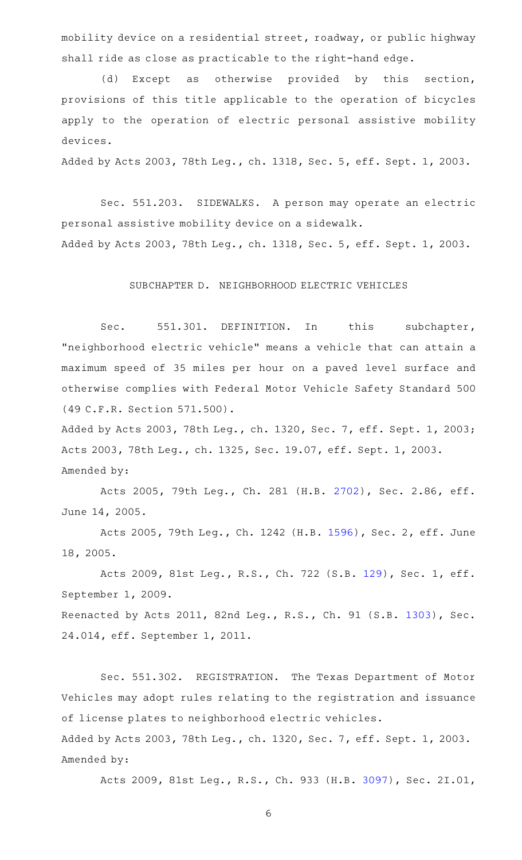mobility device on a residential street, roadway, or public highway shall ride as close as practicable to the right-hand edge.

(d) Except as otherwise provided by this section, provisions of this title applicable to the operation of bicycles apply to the operation of electric personal assistive mobility devices.

Added by Acts 2003, 78th Leg., ch. 1318, Sec. 5, eff. Sept. 1, 2003.

Sec. 551.203. SIDEWALKS. A person may operate an electric personal assistive mobility device on a sidewalk. Added by Acts 2003, 78th Leg., ch. 1318, Sec. 5, eff. Sept. 1, 2003.

### SUBCHAPTER D. NEIGHBORHOOD ELECTRIC VEHICLES

Sec. 551.301. DEFINITION. In this subchapter, "neighborhood electric vehicle" means a vehicle that can attain a maximum speed of 35 miles per hour on a paved level surface and otherwise complies with Federal Motor Vehicle Safety Standard 500 (49 C.F.R. Section 571.500).

Added by Acts 2003, 78th Leg., ch. 1320, Sec. 7, eff. Sept. 1, 2003; Acts 2003, 78th Leg., ch. 1325, Sec. 19.07, eff. Sept. 1, 2003. Amended by:

Acts 2005, 79th Leg., Ch. 281 (H.B. [2702](http://www.legis.state.tx.us/tlodocs/79R/billtext/html/HB02702F.HTM)), Sec. 2.86, eff. June 14, 2005.

Acts 2005, 79th Leg., Ch. 1242 (H.B. [1596](http://www.legis.state.tx.us/tlodocs/79R/billtext/html/HB01596F.HTM)), Sec. 2, eff. June 18, 2005.

Acts 2009, 81st Leg., R.S., Ch. 722 (S.B. [129](http://www.legis.state.tx.us/tlodocs/81R/billtext/html/SB00129F.HTM)), Sec. 1, eff. September 1, 2009. Reenacted by Acts 2011, 82nd Leg., R.S., Ch. 91 (S.B. [1303\)](http://www.legis.state.tx.us/tlodocs/82R/billtext/html/SB01303F.HTM), Sec. 24.014, eff. September 1, 2011.

Sec. 551.302. REGISTRATION. The Texas Department of Motor Vehicles may adopt rules relating to the registration and issuance of license plates to neighborhood electric vehicles. Added by Acts 2003, 78th Leg., ch. 1320, Sec. 7, eff. Sept. 1, 2003. Amended by:

Acts 2009, 81st Leg., R.S., Ch. 933 (H.B. [3097\)](http://www.legis.state.tx.us/tlodocs/81R/billtext/html/HB03097F.HTM), Sec. 2I.01,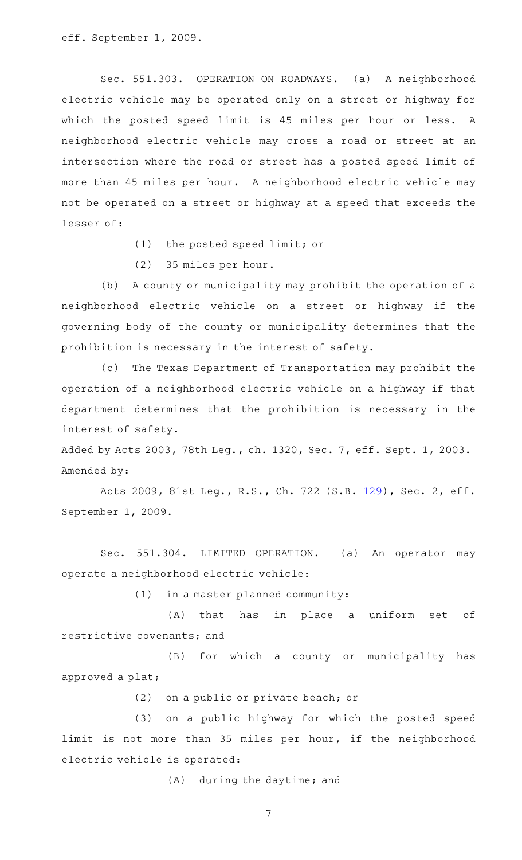Sec. 551.303. OPERATION ON ROADWAYS. (a) A neighborhood electric vehicle may be operated only on a street or highway for which the posted speed limit is 45 miles per hour or less. A neighborhood electric vehicle may cross a road or street at an intersection where the road or street has a posted speed limit of more than 45 miles per hour. A neighborhood electric vehicle may not be operated on a street or highway at a speed that exceeds the lesser of:

(1) the posted speed limit; or

(2) 35 miles per hour.

(b) A county or municipality may prohibit the operation of a neighborhood electric vehicle on a street or highway if the governing body of the county or municipality determines that the prohibition is necessary in the interest of safety.

(c) The Texas Department of Transportation may prohibit the operation of a neighborhood electric vehicle on a highway if that department determines that the prohibition is necessary in the interest of safety.

Added by Acts 2003, 78th Leg., ch. 1320, Sec. 7, eff. Sept. 1, 2003. Amended by:

Acts 2009, 81st Leg., R.S., Ch. 722 (S.B. [129](http://www.legis.state.tx.us/tlodocs/81R/billtext/html/SB00129F.HTM)), Sec. 2, eff. September 1, 2009.

Sec. 551.304. LIMITED OPERATION. (a) An operator may operate a neighborhood electric vehicle:

 $(1)$  in a master planned community:

 $(A)$  that has in place a uniform set of restrictive covenants; and

(B) for which a county or municipality has approved a plat;

(2) on a public or private beach; or

(3) on a public highway for which the posted speed limit is not more than 35 miles per hour, if the neighborhood electric vehicle is operated:

(A) during the daytime; and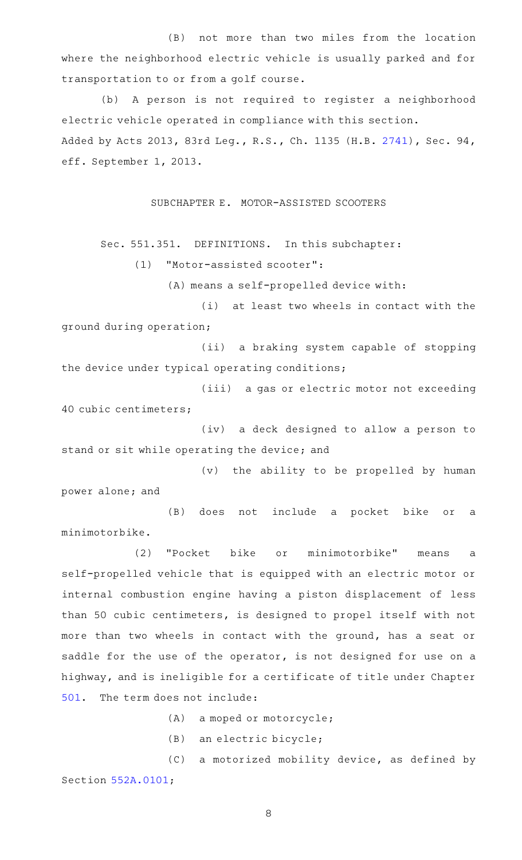(B) not more than two miles from the location where the neighborhood electric vehicle is usually parked and for transportation to or from a golf course.

(b) A person is not required to register a neighborhood electric vehicle operated in compliance with this section. Added by Acts 2013, 83rd Leg., R.S., Ch. 1135 (H.B. [2741](http://www.legis.state.tx.us/tlodocs/83R/billtext/html/HB02741F.HTM)), Sec. 94, eff. September 1, 2013.

SUBCHAPTER E. MOTOR-ASSISTED SCOOTERS

Sec. 551.351. DEFINITIONS. In this subchapter:

(1) "Motor-assisted scooter":

(A) means a self-propelled device with:

 $(i)$  at least two wheels in contact with the ground during operation;

(ii) a braking system capable of stopping the device under typical operating conditions;

(iii) a gas or electric motor not exceeding 40 cubic centimeters;

(iv) a deck designed to allow a person to stand or sit while operating the device; and

(v) the ability to be propelled by human power alone; and

(B) does not include a pocket bike or a minimotorbike.

(2) "Pocket bike or minimotorbike" means a self-propelled vehicle that is equipped with an electric motor or internal combustion engine having a piston displacement of less than 50 cubic centimeters, is designed to propel itself with not more than two wheels in contact with the ground, has a seat or saddle for the use of the operator, is not designed for use on a highway, and is ineligible for a certificate of title under Chapter [501.](http://www.statutes.legis.state.tx.us/GetStatute.aspx?Code=TN&Value=501) The term does not include:

- $(A)$  a moped or motorcycle;
- $(B)$  an electric bicycle;

 $(C)$  a motorized mobility device, as defined by Section [552A.0101;](http://www.statutes.legis.state.tx.us/GetStatute.aspx?Code=TN&Value=552A.0101)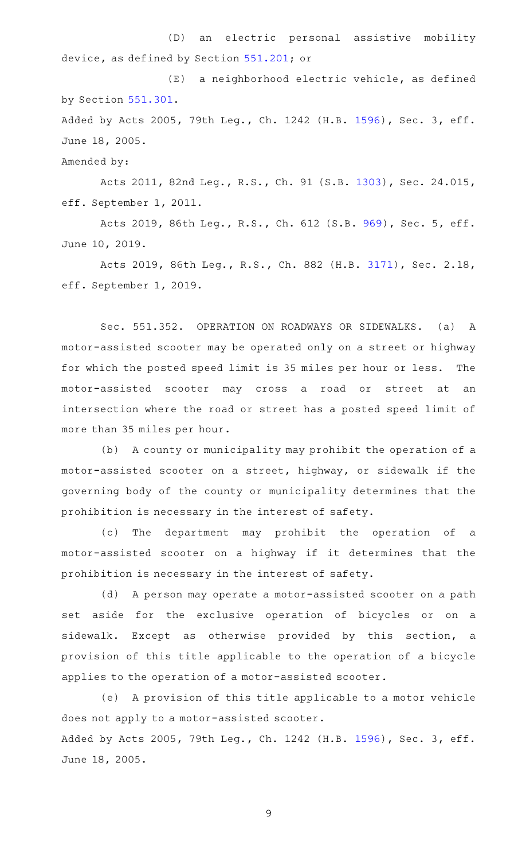(D) an electric personal assistive mobility device, as defined by Section [551.201;](http://www.statutes.legis.state.tx.us/GetStatute.aspx?Code=TN&Value=551.201) or

 $(E)$  a neighborhood electric vehicle, as defined by Section [551.301.](http://www.statutes.legis.state.tx.us/GetStatute.aspx?Code=TN&Value=551.301) Added by Acts 2005, 79th Leg., Ch. 1242 (H.B. [1596\)](http://www.legis.state.tx.us/tlodocs/79R/billtext/html/HB01596F.HTM), Sec. 3, eff.

June 18, 2005.

Amended by:

Acts 2011, 82nd Leg., R.S., Ch. 91 (S.B. [1303](http://www.legis.state.tx.us/tlodocs/82R/billtext/html/SB01303F.HTM)), Sec. 24.015, eff. September 1, 2011.

Acts 2019, 86th Leg., R.S., Ch. 612 (S.B. [969](http://www.legis.state.tx.us/tlodocs/86R/billtext/html/SB00969F.HTM)), Sec. 5, eff. June 10, 2019.

Acts 2019, 86th Leg., R.S., Ch. 882 (H.B. [3171\)](http://www.legis.state.tx.us/tlodocs/86R/billtext/html/HB03171F.HTM), Sec. 2.18, eff. September 1, 2019.

Sec. 551.352. OPERATION ON ROADWAYS OR SIDEWALKS. (a) A motor-assisted scooter may be operated only on a street or highway for which the posted speed limit is 35 miles per hour or less. The motor-assisted scooter may cross a road or street at an intersection where the road or street has a posted speed limit of more than 35 miles per hour.

(b) A county or municipality may prohibit the operation of a motor-assisted scooter on a street, highway, or sidewalk if the governing body of the county or municipality determines that the prohibition is necessary in the interest of safety.

(c) The department may prohibit the operation of a motor-assisted scooter on a highway if it determines that the prohibition is necessary in the interest of safety.

(d) A person may operate a motor-assisted scooter on a path set aside for the exclusive operation of bicycles or on a sidewalk. Except as otherwise provided by this section, a provision of this title applicable to the operation of a bicycle applies to the operation of a motor-assisted scooter.

(e) A provision of this title applicable to a motor vehicle does not apply to a motor-assisted scooter. Added by Acts 2005, 79th Leg., Ch. 1242 (H.B. [1596\)](http://www.legis.state.tx.us/tlodocs/79R/billtext/html/HB01596F.HTM), Sec. 3, eff. June 18, 2005.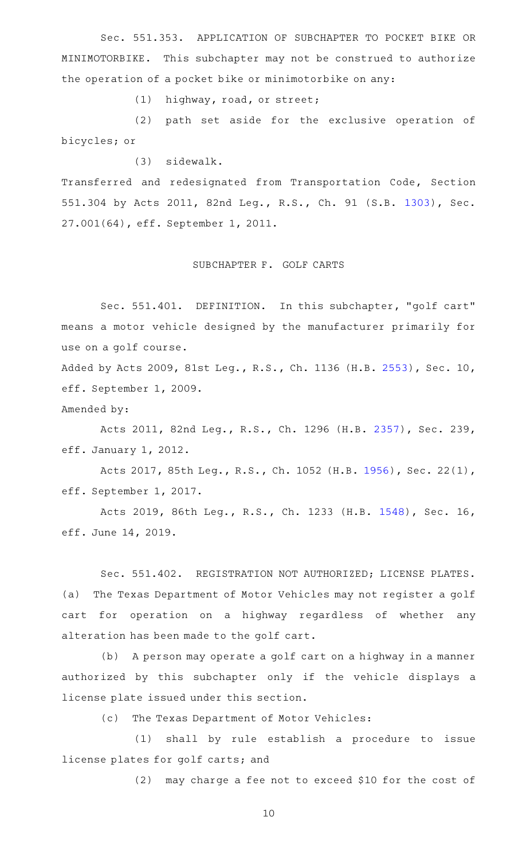Sec. 551.353. APPLICATION OF SUBCHAPTER TO POCKET BIKE OR MINIMOTORBIKE. This subchapter may not be construed to authorize the operation of a pocket bike or minimotorbike on any:

(1) highway, road, or street;

(2) path set aside for the exclusive operation of bicycles; or

 $(3)$  sidewalk.

Transferred and redesignated from Transportation Code, Section 551.304 by Acts 2011, 82nd Leg., R.S., Ch. 91 (S.B. [1303](http://www.legis.state.tx.us/tlodocs/82R/billtext/html/SB01303F.HTM)), Sec. 27.001(64), eff. September 1, 2011.

#### SUBCHAPTER F. GOLF CARTS

Sec. 551.401. DEFINITION. In this subchapter, "golf cart" means a motor vehicle designed by the manufacturer primarily for use on a golf course.

Added by Acts 2009, 81st Leg., R.S., Ch. 1136 (H.B. [2553](http://www.legis.state.tx.us/tlodocs/81R/billtext/html/HB02553F.HTM)), Sec. 10, eff. September 1, 2009.

Amended by:

Acts 2011, 82nd Leg., R.S., Ch. 1296 (H.B. [2357](http://www.legis.state.tx.us/tlodocs/82R/billtext/html/HB02357F.HTM)), Sec. 239, eff. January 1, 2012.

Acts 2017, 85th Leg., R.S., Ch. 1052 (H.B. [1956](http://www.legis.state.tx.us/tlodocs/85R/billtext/html/HB01956F.HTM)), Sec. 22(1), eff. September 1, 2017.

Acts 2019, 86th Leg., R.S., Ch. 1233 (H.B. [1548](http://www.legis.state.tx.us/tlodocs/86R/billtext/html/HB01548F.HTM)), Sec. 16, eff. June 14, 2019.

Sec. 551.402. REGISTRATION NOT AUTHORIZED; LICENSE PLATES. (a) The Texas Department of Motor Vehicles may not register a golf cart for operation on a highway regardless of whether any alteration has been made to the golf cart.

(b) A person may operate a golf cart on a highway in a manner authorized by this subchapter only if the vehicle displays a license plate issued under this section.

(c) The Texas Department of Motor Vehicles:

(1) shall by rule establish a procedure to issue license plates for golf carts; and

(2) may charge a fee not to exceed \$10 for the cost of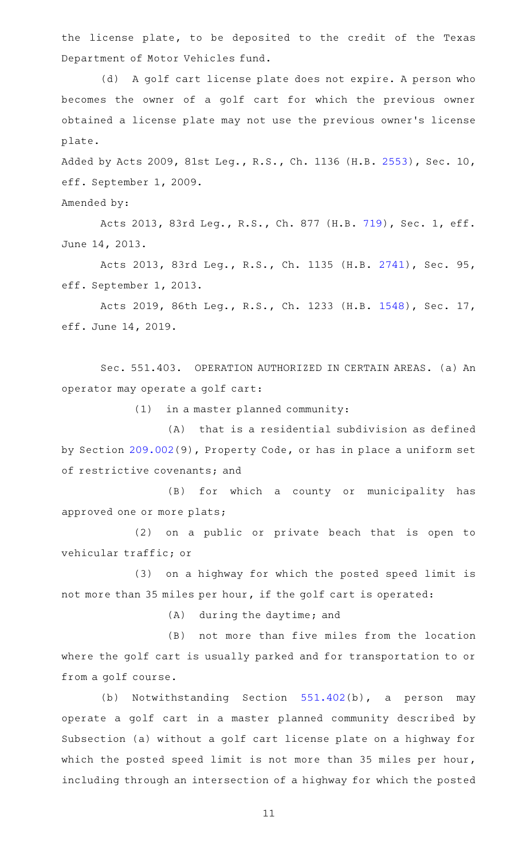the license plate, to be deposited to the credit of the Texas Department of Motor Vehicles fund.

(d) A golf cart license plate does not expire. A person who becomes the owner of a golf cart for which the previous owner obtained a license plate may not use the previous owner 's license plate.

Added by Acts 2009, 81st Leg., R.S., Ch. 1136 (H.B. [2553](http://www.legis.state.tx.us/tlodocs/81R/billtext/html/HB02553F.HTM)), Sec. 10, eff. September 1, 2009.

### Amended by:

Acts 2013, 83rd Leg., R.S., Ch. 877 (H.B. [719](http://www.legis.state.tx.us/tlodocs/83R/billtext/html/HB00719F.HTM)), Sec. 1, eff. June 14, 2013.

Acts 2013, 83rd Leg., R.S., Ch. 1135 (H.B. [2741](http://www.legis.state.tx.us/tlodocs/83R/billtext/html/HB02741F.HTM)), Sec. 95, eff. September 1, 2013.

Acts 2019, 86th Leg., R.S., Ch. 1233 (H.B. [1548](http://www.legis.state.tx.us/tlodocs/86R/billtext/html/HB01548F.HTM)), Sec. 17, eff. June 14, 2019.

Sec. 551.403. OPERATION AUTHORIZED IN CERTAIN AREAS. (a) An operator may operate a golf cart:

 $(1)$  in a master planned community:

 $(A)$  that is a residential subdivision as defined by Section [209.002](http://www.statutes.legis.state.tx.us/GetStatute.aspx?Code=PR&Value=209.002)(9), Property Code, or has in place a uniform set of restrictive covenants; and

(B) for which a county or municipality has approved one or more plats;

(2) on a public or private beach that is open to vehicular traffic; or

(3) on a highway for which the posted speed limit is not more than 35 miles per hour, if the golf cart is operated:

 $(A)$  during the daytime; and

(B) not more than five miles from the location where the golf cart is usually parked and for transportation to or from a golf course.

(b) Notwithstanding Section  $551.402(b)$  $551.402(b)$ , a person may operate a golf cart in a master planned community described by Subsection (a) without a golf cart license plate on a highway for which the posted speed limit is not more than 35 miles per hour, including through an intersection of a highway for which the posted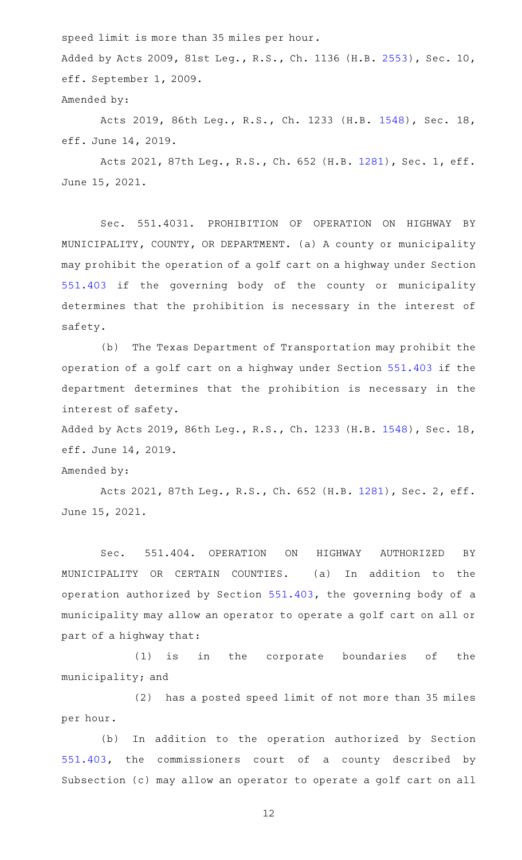speed limit is more than 35 miles per hour.

Added by Acts 2009, 81st Leg., R.S., Ch. 1136 (H.B. [2553](http://www.legis.state.tx.us/tlodocs/81R/billtext/html/HB02553F.HTM)), Sec. 10, eff. September 1, 2009.

Amended by:

Acts 2019, 86th Leg., R.S., Ch. 1233 (H.B. [1548](http://www.legis.state.tx.us/tlodocs/86R/billtext/html/HB01548F.HTM)), Sec. 18, eff. June 14, 2019.

Acts 2021, 87th Leg., R.S., Ch. 652 (H.B. [1281](http://www.legis.state.tx.us/tlodocs/87R/billtext/html/HB01281F.HTM)), Sec. 1, eff. June 15, 2021.

Sec. 551.4031. PROHIBITION OF OPERATION ON HIGHWAY BY MUNICIPALITY, COUNTY, OR DEPARTMENT. (a) A county or municipality may prohibit the operation of a golf cart on a highway under Section [551.403](http://www.statutes.legis.state.tx.us/GetStatute.aspx?Code=TN&Value=551.403) if the governing body of the county or municipality determines that the prohibition is necessary in the interest of safety.

(b) The Texas Department of Transportation may prohibit the operation of a golf cart on a highway under Section [551.403](http://www.statutes.legis.state.tx.us/GetStatute.aspx?Code=TN&Value=551.403) if the department determines that the prohibition is necessary in the interest of safety.

Added by Acts 2019, 86th Leg., R.S., Ch. 1233 (H.B. [1548](http://www.legis.state.tx.us/tlodocs/86R/billtext/html/HB01548F.HTM)), Sec. 18, eff. June 14, 2019.

Amended by:

Acts 2021, 87th Leg., R.S., Ch. 652 (H.B. [1281](http://www.legis.state.tx.us/tlodocs/87R/billtext/html/HB01281F.HTM)), Sec. 2, eff. June 15, 2021.

Sec. 551.404. OPERATION ON HIGHWAY AUTHORIZED BY MUNICIPALITY OR CERTAIN COUNTIES. (a) In addition to the operation authorized by Section [551.403,](http://www.statutes.legis.state.tx.us/GetStatute.aspx?Code=TN&Value=551.403) the governing body of a municipality may allow an operator to operate a golf cart on all or part of a highway that:

 $(1)$  is in the corporate boundaries of the municipality; and

(2) has a posted speed limit of not more than 35 miles per hour.

(b) In addition to the operation authorized by Section [551.403,](http://www.statutes.legis.state.tx.us/GetStatute.aspx?Code=TN&Value=551.403) the commissioners court of a county described by Subsection (c) may allow an operator to operate a golf cart on all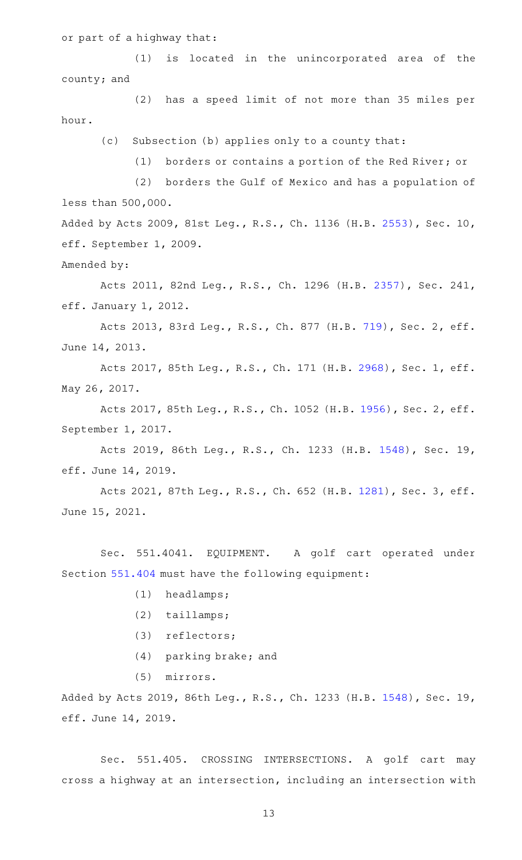or part of a highway that:

(1) is located in the unincorporated area of the county; and

(2) has a speed limit of not more than 35 miles per hour.

(c) Subsection (b) applies only to a county that:

(1) borders or contains a portion of the Red River; or

(2) borders the Gulf of Mexico and has a population of less than 500,000.

Added by Acts 2009, 81st Leg., R.S., Ch. 1136 (H.B. [2553](http://www.legis.state.tx.us/tlodocs/81R/billtext/html/HB02553F.HTM)), Sec. 10, eff. September 1, 2009.

Amended by:

Acts 2011, 82nd Leg., R.S., Ch. 1296 (H.B. [2357](http://www.legis.state.tx.us/tlodocs/82R/billtext/html/HB02357F.HTM)), Sec. 241, eff. January 1, 2012.

Acts 2013, 83rd Leg., R.S., Ch. 877 (H.B. [719](http://www.legis.state.tx.us/tlodocs/83R/billtext/html/HB00719F.HTM)), Sec. 2, eff. June 14, 2013.

Acts 2017, 85th Leg., R.S., Ch. 171 (H.B. [2968](http://www.legis.state.tx.us/tlodocs/85R/billtext/html/HB02968F.HTM)), Sec. 1, eff. May 26, 2017.

Acts 2017, 85th Leg., R.S., Ch. 1052 (H.B. [1956](http://www.legis.state.tx.us/tlodocs/85R/billtext/html/HB01956F.HTM)), Sec. 2, eff. September 1, 2017.

Acts 2019, 86th Leg., R.S., Ch. 1233 (H.B. [1548](http://www.legis.state.tx.us/tlodocs/86R/billtext/html/HB01548F.HTM)), Sec. 19, eff. June 14, 2019.

Acts 2021, 87th Leg., R.S., Ch. 652 (H.B. [1281](http://www.legis.state.tx.us/tlodocs/87R/billtext/html/HB01281F.HTM)), Sec. 3, eff. June 15, 2021.

Sec. 551.4041. EQUIPMENT. A golf cart operated under Section [551.404](http://www.statutes.legis.state.tx.us/GetStatute.aspx?Code=TN&Value=551.404) must have the following equipment:

- (1) headlamps;
- $(2)$  taillamps;
- (3) reflectors;
- $(4)$  parking brake; and
- (5) mirrors.

Added by Acts 2019, 86th Leg., R.S., Ch. 1233 (H.B. [1548](http://www.legis.state.tx.us/tlodocs/86R/billtext/html/HB01548F.HTM)), Sec. 19, eff. June 14, 2019.

Sec. 551.405. CROSSING INTERSECTIONS. A golf cart may cross a highway at an intersection, including an intersection with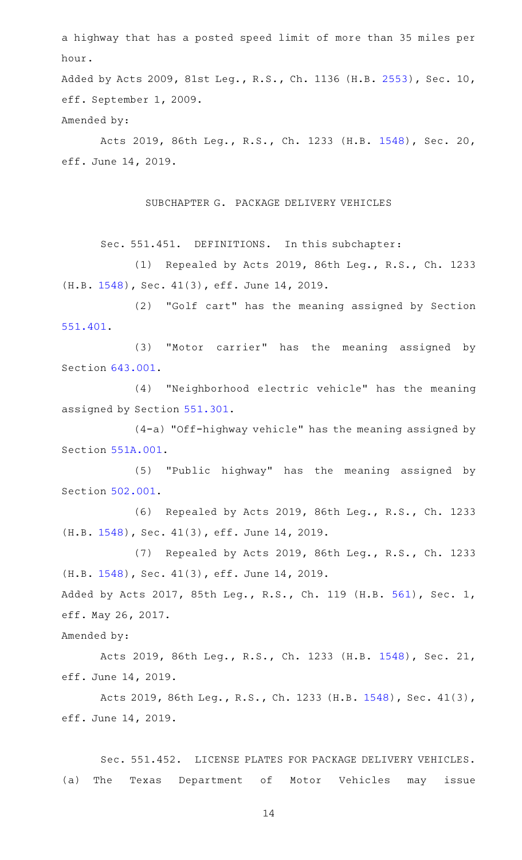a highway that has a posted speed limit of more than 35 miles per hour.

Added by Acts 2009, 81st Leg., R.S., Ch. 1136 (H.B. [2553](http://www.legis.state.tx.us/tlodocs/81R/billtext/html/HB02553F.HTM)), Sec. 10, eff. September 1, 2009.

Amended by:

Acts 2019, 86th Leg., R.S., Ch. 1233 (H.B. [1548](http://www.legis.state.tx.us/tlodocs/86R/billtext/html/HB01548F.HTM)), Sec. 20, eff. June 14, 2019.

SUBCHAPTER G. PACKAGE DELIVERY VEHICLES

Sec. 551.451. DEFINITIONS. In this subchapter:

(1) Repealed by Acts 2019, 86th Leg., R.S., Ch. 1233 (H.B. [1548\)](http://www.legis.state.tx.us/tlodocs/86R/billtext/html/HB01548F.HTM), Sec. 41(3), eff. June 14, 2019.

(2) "Golf cart" has the meaning assigned by Section [551.401.](http://www.statutes.legis.state.tx.us/GetStatute.aspx?Code=TN&Value=551.401)

(3) "Motor carrier" has the meaning assigned by Section [643.001.](http://www.statutes.legis.state.tx.us/GetStatute.aspx?Code=TN&Value=643.001)

(4) "Neighborhood electric vehicle" has the meaning assigned by Section [551.301](http://www.statutes.legis.state.tx.us/GetStatute.aspx?Code=TN&Value=551.301).

(4-a) "Off-highway vehicle" has the meaning assigned by Section [551A.001](http://www.statutes.legis.state.tx.us/GetStatute.aspx?Code=TN&Value=551A.001).

(5) "Public highway" has the meaning assigned by Section [502.001.](http://www.statutes.legis.state.tx.us/GetStatute.aspx?Code=TN&Value=502.001)

(6) Repealed by Acts 2019, 86th Leg., R.S., Ch. 1233 (H.B. [1548\)](http://www.legis.state.tx.us/tlodocs/86R/billtext/html/HB01548F.HTM), Sec. 41(3), eff. June 14, 2019.

(7) Repealed by Acts 2019, 86th Leg., R.S., Ch. 1233 (H.B. [1548\)](http://www.legis.state.tx.us/tlodocs/86R/billtext/html/HB01548F.HTM), Sec. 41(3), eff. June 14, 2019. Added by Acts 2017, 85th Leg., R.S., Ch. 119 (H.B. [561](http://www.legis.state.tx.us/tlodocs/85R/billtext/html/HB00561F.HTM)), Sec. 1,

Amended by:

eff. May 26, 2017.

Acts 2019, 86th Leg., R.S., Ch. 1233 (H.B. [1548](http://www.legis.state.tx.us/tlodocs/86R/billtext/html/HB01548F.HTM)), Sec. 21, eff. June 14, 2019.

Acts 2019, 86th Leg., R.S., Ch. 1233 (H.B. [1548](http://www.legis.state.tx.us/tlodocs/86R/billtext/html/HB01548F.HTM)), Sec. 41(3), eff. June 14, 2019.

Sec. 551.452. LICENSE PLATES FOR PACKAGE DELIVERY VEHICLES. (a) The Texas Department of Motor Vehicles may issue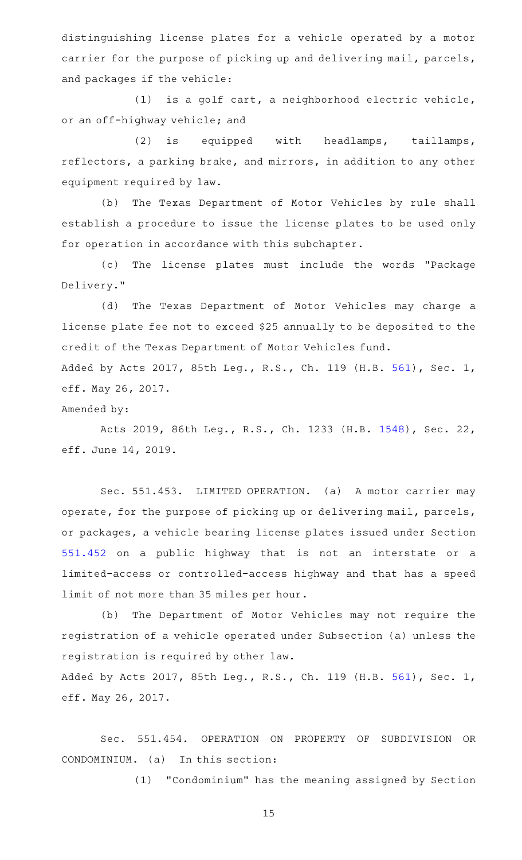distinguishing license plates for a vehicle operated by a motor carrier for the purpose of picking up and delivering mail, parcels, and packages if the vehicle:

(1) is a golf cart, a neighborhood electric vehicle, or an off-highway vehicle; and

(2) is equipped with headlamps, taillamps, reflectors, a parking brake, and mirrors, in addition to any other equipment required by law.

(b) The Texas Department of Motor Vehicles by rule shall establish a procedure to issue the license plates to be used only for operation in accordance with this subchapter.

(c) The license plates must include the words "Package Delivery."

(d) The Texas Department of Motor Vehicles may charge a license plate fee not to exceed \$25 annually to be deposited to the credit of the Texas Department of Motor Vehicles fund. Added by Acts 2017, 85th Leg., R.S., Ch. 119 (H.B. [561](http://www.legis.state.tx.us/tlodocs/85R/billtext/html/HB00561F.HTM)), Sec. 1,

eff. May 26, 2017.

Amended by:

Acts 2019, 86th Leg., R.S., Ch. 1233 (H.B. [1548](http://www.legis.state.tx.us/tlodocs/86R/billtext/html/HB01548F.HTM)), Sec. 22, eff. June 14, 2019.

Sec. 551.453. LIMITED OPERATION. (a) A motor carrier may operate, for the purpose of picking up or delivering mail, parcels, or packages, a vehicle bearing license plates issued under Section [551.452](http://www.statutes.legis.state.tx.us/GetStatute.aspx?Code=TN&Value=551.452) on a public highway that is not an interstate or a limited-access or controlled-access highway and that has a speed limit of not more than 35 miles per hour.

(b) The Department of Motor Vehicles may not require the registration of a vehicle operated under Subsection (a) unless the registration is required by other law. Added by Acts 2017, 85th Leg., R.S., Ch. 119 (H.B. [561](http://www.legis.state.tx.us/tlodocs/85R/billtext/html/HB00561F.HTM)), Sec. 1, eff. May 26, 2017.

Sec. 551.454. OPERATION ON PROPERTY OF SUBDIVISION OR  $COMDOMINIUM.$  (a) In this section:

(1) "Condominium" has the meaning assigned by Section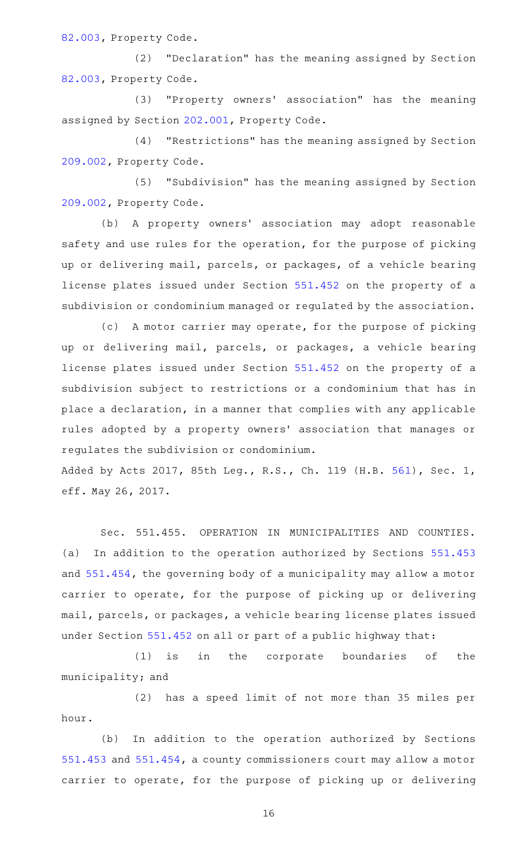[82.003](http://www.statutes.legis.state.tx.us/GetStatute.aspx?Code=PR&Value=82.003), Property Code.

(2) "Declaration" has the meaning assigned by Section [82.003](http://www.statutes.legis.state.tx.us/GetStatute.aspx?Code=PR&Value=82.003), Property Code.

(3) "Property owners' association" has the meaning assigned by Section [202.001](http://www.statutes.legis.state.tx.us/GetStatute.aspx?Code=PR&Value=202.001), Property Code.

(4) "Restrictions" has the meaning assigned by Section [209.002,](http://www.statutes.legis.state.tx.us/GetStatute.aspx?Code=PR&Value=209.002) Property Code.

(5) "Subdivision" has the meaning assigned by Section [209.002,](http://www.statutes.legis.state.tx.us/GetStatute.aspx?Code=PR&Value=209.002) Property Code.

(b) A property owners' association may adopt reasonable safety and use rules for the operation, for the purpose of picking up or delivering mail, parcels, or packages, of a vehicle bearing license plates issued under Section [551.452](http://www.statutes.legis.state.tx.us/GetStatute.aspx?Code=TN&Value=551.452) on the property of a subdivision or condominium managed or regulated by the association.

(c) A motor carrier may operate, for the purpose of picking up or delivering mail, parcels, or packages, a vehicle bearing license plates issued under Section [551.452](http://www.statutes.legis.state.tx.us/GetStatute.aspx?Code=TN&Value=551.452) on the property of a subdivision subject to restrictions or a condominium that has in place a declaration, in a manner that complies with any applicable rules adopted by a property owners' association that manages or regulates the subdivision or condominium.

Added by Acts 2017, 85th Leg., R.S., Ch. 119 (H.B. [561](http://www.legis.state.tx.us/tlodocs/85R/billtext/html/HB00561F.HTM)), Sec. 1, eff. May 26, 2017.

Sec. 551.455. OPERATION IN MUNICIPALITIES AND COUNTIES. (a) In addition to the operation authorized by Sections [551.453](http://www.statutes.legis.state.tx.us/GetStatute.aspx?Code=TN&Value=551.453) and [551.454](http://www.statutes.legis.state.tx.us/GetStatute.aspx?Code=TN&Value=551.454), the governing body of a municipality may allow a motor carrier to operate, for the purpose of picking up or delivering mail, parcels, or packages, a vehicle bearing license plates issued under Section [551.452](http://www.statutes.legis.state.tx.us/GetStatute.aspx?Code=TN&Value=551.452) on all or part of a public highway that:

 $(1)$  is in the corporate boundaries of the municipality; and

(2) has a speed limit of not more than 35 miles per hour.

(b) In addition to the operation authorized by Sections [551.453](http://www.statutes.legis.state.tx.us/GetStatute.aspx?Code=TN&Value=551.453) and [551.454](http://www.statutes.legis.state.tx.us/GetStatute.aspx?Code=TN&Value=551.454), a county commissioners court may allow a motor carrier to operate, for the purpose of picking up or delivering